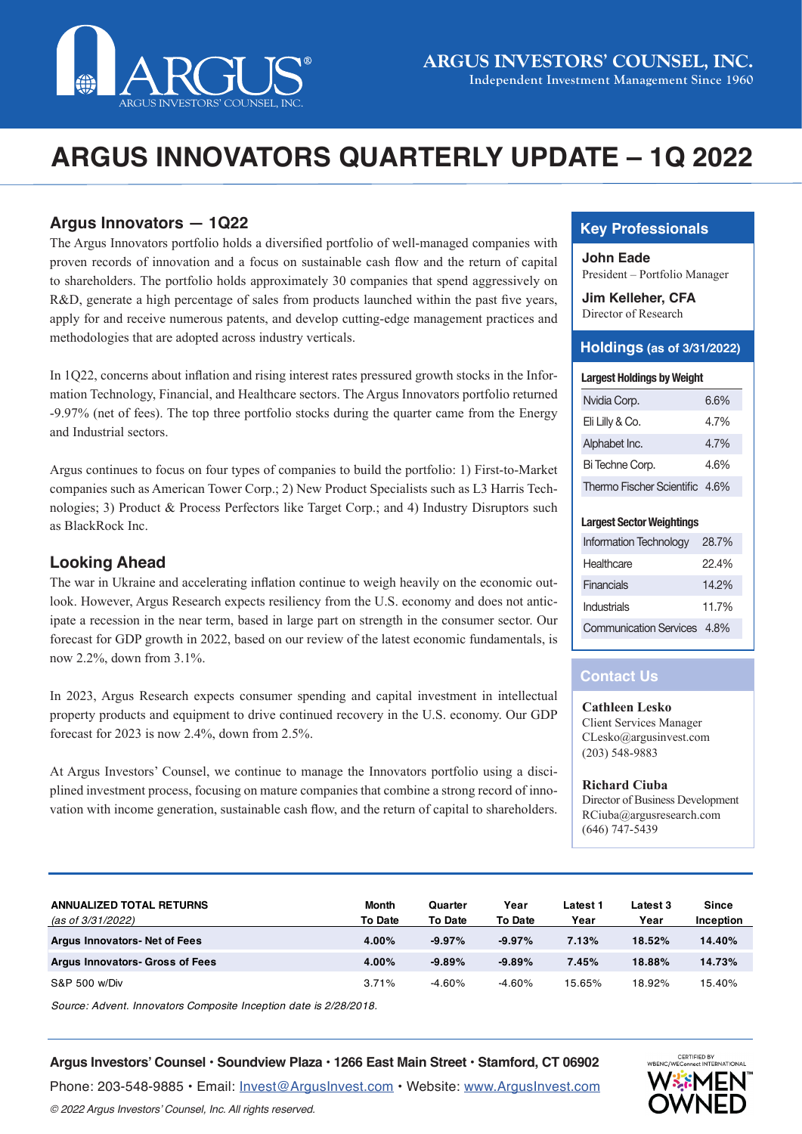

# **ARGUS INNOVATORS QUARTERLY UPDATE – 1Q 2022**

## **Argus Innovators — 1Q22**

The Argus Innovators portfolio holds a diversified portfolio of well-managed companies with proven records of innovation and a focus on sustainable cash flow and the return of capital to shareholders. The portfolio holds approximately 30 companies that spend aggressively on R&D, generate a high percentage of sales from products launched within the past five years, apply for and receive numerous patents, and develop cutting-edge management practices and methodologies that are adopted across industry verticals.

In 1Q22, concerns about inflation and rising interest rates pressured growth stocks in the Information Technology, Financial, and Healthcare sectors. The Argus Innovators portfolio returned -9.97% (net of fees). The top three portfolio stocks during the quarter came from the Energy and Industrial sectors.

Argus continues to focus on four types of companies to build the portfolio: 1) First-to-Market companies such as American Tower Corp.; 2) New Product Specialists such as L3 Harris Technologies; 3) Product & Process Perfectors like Target Corp.; and 4) Industry Disruptors such as BlackRock Inc.

#### **Looking Ahead**

The war in Ukraine and accelerating inflation continue to weigh heavily on the economic outlook. However, Argus Research expects resiliency from the U.S. economy and does not anticipate a recession in the near term, based in large part on strength in the consumer sector. Our forecast for GDP growth in 2022, based on our review of the latest economic fundamentals, is now 2.2%, down from 3.1%.

In 2023, Argus Research expects consumer spending and capital investment in intellectual property products and equipment to drive continued recovery in the U.S. economy. Our GDP forecast for 2023 is now 2.4%, down from 2.5%.

At Argus Investors' Counsel, we continue to manage the Innovators portfolio using a disciplined investment process, focusing on mature companies that combine a strong record of innovation with income generation, sustainable cash flow, and the return of capital to shareholders.

## **Key Professionals**

**John Eade** President – Portfolio Manager

**Jim Kelleher, CFA** Director of Research

#### **Holdings (as of 3/31/2022)**

#### **Largest Holdings by Weight**

| Nvidia Corp.                   | 6.6% |
|--------------------------------|------|
| Eli Lilly & Co.                | 4.7% |
| Alphabet Inc.                  | 4.7% |
| Bi Techne Corp.                | 4.6% |
| Thermo Fischer Scientific 4.6% |      |

#### **Largest Sector Weightings**

| <b>Information Technology</b> | 28.7% |
|-------------------------------|-------|
| Healthcare                    | 22 4% |
| Financials                    | 14.2% |
| Industrials                   | 117%  |
| Communication Services 4.8%   |       |

## **Contact Us**

**Cathleen Lesko** Client Services Manager CLesko@argusinvest.com (203) 548-9883

**Richard Ciuba** Director of Business Development RCiuba@argusresearch.com (646) 747-5439

| <b>ANNUALIZED TOTAL RETURNS</b><br>(as of 3/31/2022) | Month<br><b>To Date</b> | Quarter<br><b>To Date</b> | Year<br>To Date | Latest 1<br>Year | Latest 3<br>Year | <b>Since</b><br>Inception |
|------------------------------------------------------|-------------------------|---------------------------|-----------------|------------------|------------------|---------------------------|
| <b>Argus Innovators-Net of Fees</b>                  | 4.00%                   | $-9.97%$                  | $-9.97%$        | 7.13%            | 18.52%           | 14.40%                    |
| <b>Argus Innovators- Gross of Fees</b>               | 4.00%                   | $-9.89%$                  | $-9.89%$        | 7.45%            | 18.88%           | 14.73%                    |
| S&P 500 w/Div                                        | 3.71%                   | $-4.60%$                  | $-4.60%$        | 15.65%           | 18.92%           | 15.40%                    |

*Source: Advent. Innovators Composite Inception date is 2/28/2018.* 

#### **Argus Investors' Counsel • Soundview Plaza • 1266 East Main Street • Stamford, CT 06902**

Phone: 203-548-9885 • Email: [Invest@ArgusInvest.com](mailto:?subject=) • Website: [www.ArgusInvest.com](http://www.ArgusInvest.com) © 2022 Argus Investors' Counsel, Inc. All rights reserved.